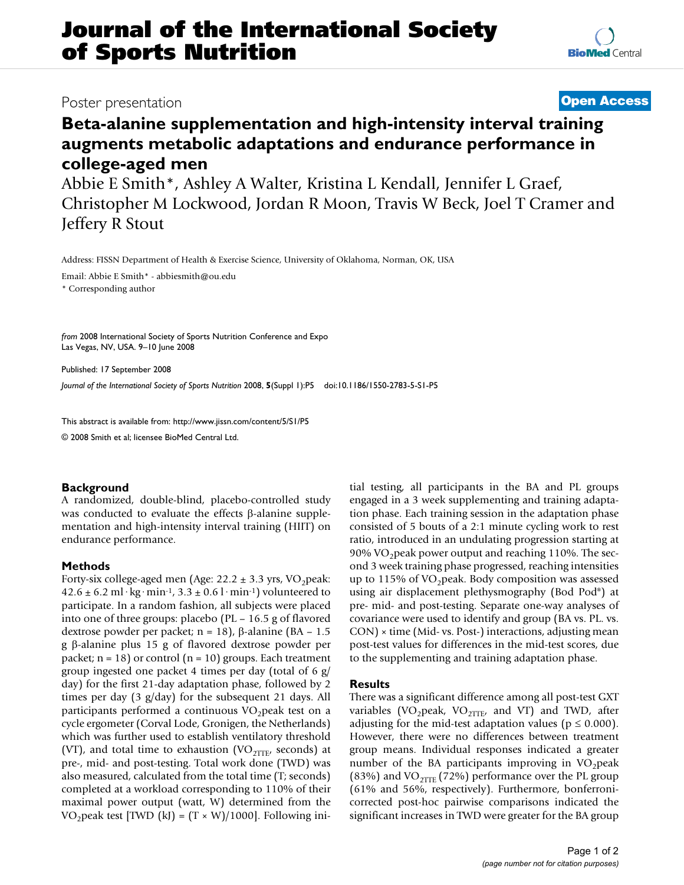# **Journal of the International Society of Sports Nutrition**

# Poster presentation **Contract Contract Contract Contract Contract Contract Contract Contract Contract Contract Contract Contract Contract Contract Contract Contract Contract Contract Contract Contract Contract Contract Con**

# **Beta-alanine supplementation and high-intensity interval training augments metabolic adaptations and endurance performance in college-aged men**

Abbie E Smith\*, Ashley A Walter, Kristina L Kendall, Jennifer L Graef, Christopher M Lockwood, Jordan R Moon, Travis W Beck, Joel T Cramer and Jeffery R Stout

Address: FISSN Department of Health & Exercise Science, University of Oklahoma, Norman, OK, USA

Email: Abbie E Smith\* - abbiesmith@ou.edu

\* Corresponding author

*from* 2008 International Society of Sports Nutrition Conference and Expo Las Vegas, NV, USA. 9–10 June 2008

Published: 17 September 2008 *Journal of the International Society of Sports Nutrition* 2008, **5**(Suppl 1):P5 doi:10.1186/1550-2783-5-S1-P5

[This abstract is available from: http://www.jissn.com/content/5/S1/P5](http://www.jissn.com/content/5/S1/P5)

© 2008 Smith et al; licensee BioMed Central Ltd.

## **Background**

A randomized, double-blind, placebo-controlled study was conducted to evaluate the effects β-alanine supplementation and high-intensity interval training (HIIT) on endurance performance.

## **Methods**

Forty-six college-aged men (Age:  $22.2 \pm 3.3$  yrs, VO<sub>2</sub>peak:  $42.6 \pm 6.2$  ml·kg·min<sup>-1</sup>,  $3.3 \pm 0.6$  l·min<sup>-1</sup>) volunteered to participate. In a random fashion, all subjects were placed into one of three groups: placebo (PL – 16.5 g of flavored dextrose powder per packet; n = 18), β-alanine (BA – 1.5 g β-alanine plus 15 g of flavored dextrose powder per packet;  $n = 18$ ) or control ( $n = 10$ ) groups. Each treatment group ingested one packet 4 times per day (total of 6 g/ day) for the first 21-day adaptation phase, followed by 2 times per day (3 g/day) for the subsequent 21 days. All participants performed a continuous  $VO<sub>2</sub>$  peak test on a cycle ergometer (Corval Lode, Gronigen, the Netherlands) which was further used to establish ventilatory threshold (VT), and total time to exhaustion (VO<sub>2TTE</sub>, seconds) at pre-, mid- and post-testing. Total work done (TWD) was also measured, calculated from the total time (T; seconds) completed at a workload corresponding to 110% of their maximal power output (watt, W) determined from the VO<sub>2</sub>peak test [TWD (kJ) =  $(T \times W)/1000$ ]. Following initial testing, all participants in the BA and PL groups engaged in a 3 week supplementing and training adaptation phase. Each training session in the adaptation phase consisted of 5 bouts of a 2:1 minute cycling work to rest ratio, introduced in an undulating progression starting at 90% VO<sub>2</sub> peak power output and reaching 110%. The second 3 week training phase progressed, reaching intensities up to 115% of VO<sub>2</sub> peak. Body composition was assessed using air displacement plethysmography (Bod Pod®) at pre- mid- and post-testing. Separate one-way analyses of covariance were used to identify and group (BA vs. PL. vs. CON) × time (Mid- vs. Post-) interactions, adjusting mean post-test values for differences in the mid-test scores, due to the supplementing and training adaptation phase.

#### **Results**

There was a significant difference among all post-test GXT variables (VO<sub>2</sub>peak, VO<sub>2TTE</sub>, and VT) and TWD, after adjusting for the mid-test adaptation values ( $p \le 0.000$ ). However, there were no differences between treatment group means. Individual responses indicated a greater number of the BA participants improving in  $VO<sub>2</sub>peak$ (83%) and VO<sub>2TTE</sub> (72%) performance over the PL group (61% and 56%, respectively). Furthermore, bonferronicorrected post-hoc pairwise comparisons indicated the significant increases in TWD were greater for the BA group